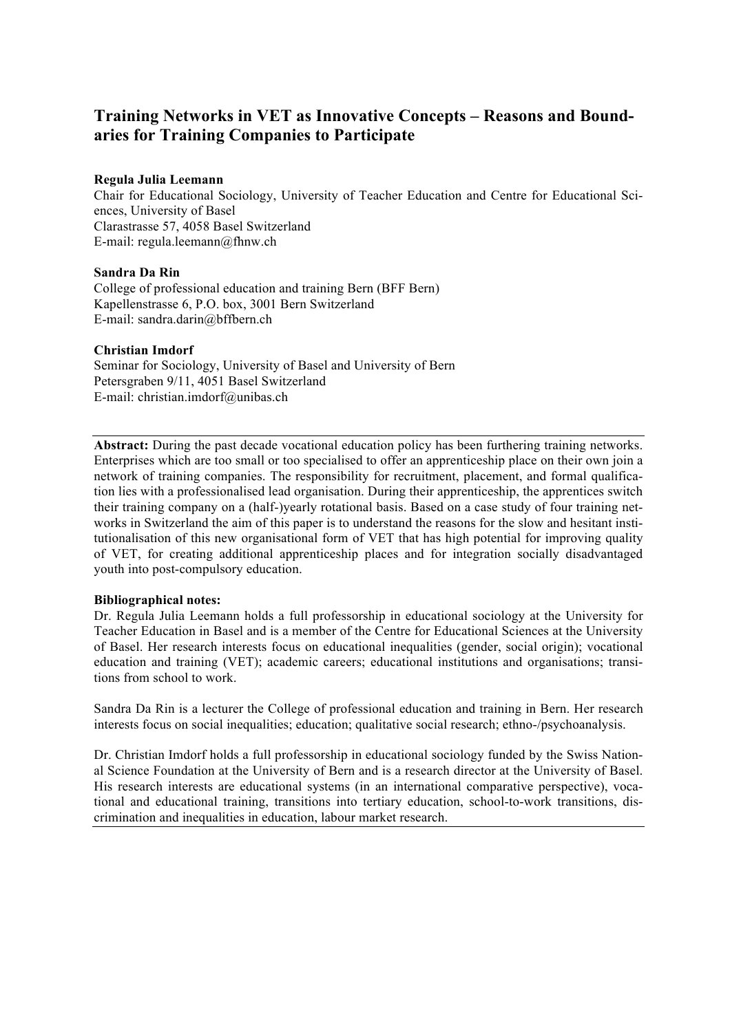# **Training Networks in VET as Innovative Concepts – Reasons and Boundaries for Training Companies to Participate**

# **Regula Julia Leemann**

Chair for Educational Sociology, University of Teacher Education and Centre for Educational Sciences, University of Basel Clarastrasse 57, 4058 Basel Switzerland E-mail: regula.leemann@fhnw.ch

# **Sandra Da Rin**

College of professional education and training Bern (BFF Bern) Kapellenstrasse 6, P.O. box, 3001 Bern Switzerland E-mail: sandra.darin@bffbern.ch

# **Christian Imdorf**

Seminar for Sociology, University of Basel and University of Bern Petersgraben 9/11, 4051 Basel Switzerland E-mail: christian.imdorf@unibas.ch

**Abstract:** During the past decade vocational education policy has been furthering training networks. Enterprises which are too small or too specialised to offer an apprenticeship place on their own join a network of training companies. The responsibility for recruitment, placement, and formal qualification lies with a professionalised lead organisation. During their apprenticeship, the apprentices switch their training company on a (half-)yearly rotational basis. Based on a case study of four training networks in Switzerland the aim of this paper is to understand the reasons for the slow and hesitant institutionalisation of this new organisational form of VET that has high potential for improving quality of VET, for creating additional apprenticeship places and for integration socially disadvantaged youth into post-compulsory education.

## **Bibliographical notes:**

Dr. Regula Julia Leemann holds a full professorship in educational sociology at the University for Teacher Education in Basel and is a member of the Centre for Educational Sciences at the University of Basel. Her research interests focus on educational inequalities (gender, social origin); vocational education and training (VET); academic careers; educational institutions and organisations; transitions from school to work.

Sandra Da Rin is a lecturer the College of professional education and training in Bern. Her research interests focus on social inequalities; education; qualitative social research; ethno-/psychoanalysis.

Dr. Christian Imdorf holds a full professorship in educational sociology funded by the Swiss National Science Foundation at the University of Bern and is a research director at the University of Basel. His research interests are educational systems (in an international comparative perspective), vocational and educational training, transitions into tertiary education, school-to-work transitions, discrimination and inequalities in education, labour market research.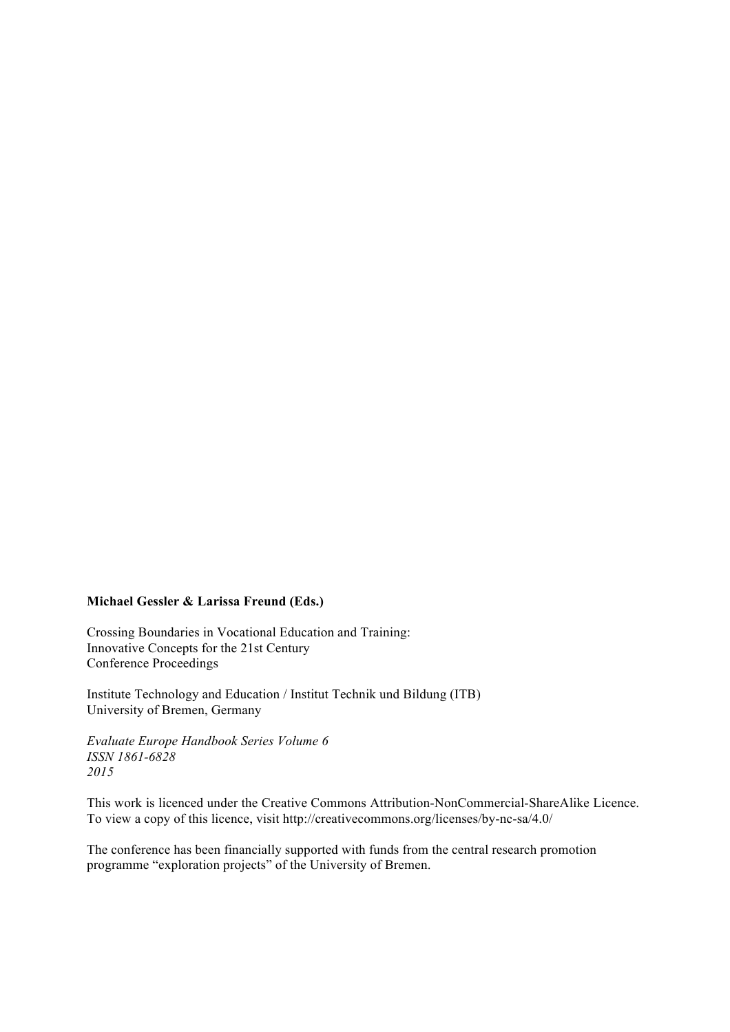## **Michael Gessler & Larissa Freund (Eds.)**

Crossing Boundaries in Vocational Education and Training: Innovative Concepts for the 21st Century Conference Proceedings

Institute Technology and Education / Institut Technik und Bildung (ITB) University of Bremen, Germany

*Evaluate Europe Handbook Series Volume 6 ISSN 1861-6828 2015*

This work is licenced under the Creative Commons Attribution-NonCommercial-ShareAlike Licence. To view a copy of this licence, visit http://creativecommons.org/licenses/by-nc-sa/4.0/

The conference has been financially supported with funds from the central research promotion programme "exploration projects" of the University of Bremen.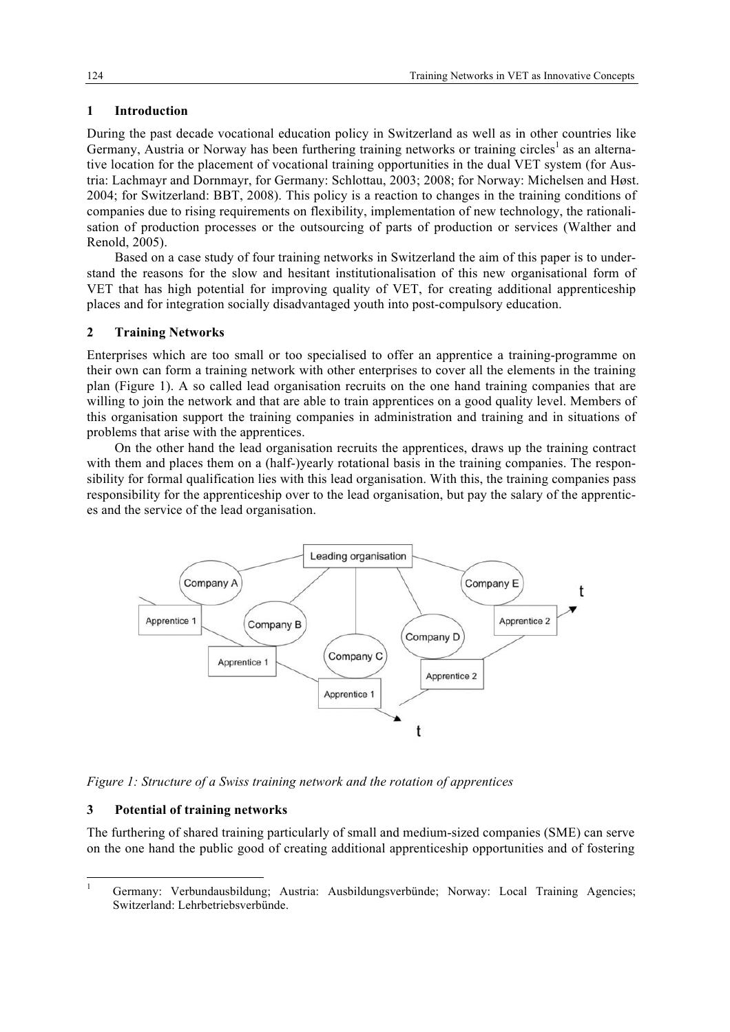## **1 Introduction**

During the past decade vocational education policy in Switzerland as well as in other countries like Germany, Austria or Norway has been furthering training networks or training circles<sup>1</sup> as an alternative location for the placement of vocational training opportunities in the dual VET system (for Austria: Lachmayr and Dornmayr, for Germany: Schlottau, 2003; 2008; for Norway: Michelsen and Høst. 2004; for Switzerland: BBT, 2008). This policy is a reaction to changes in the training conditions of companies due to rising requirements on flexibility, implementation of new technology, the rationalisation of production processes or the outsourcing of parts of production or services (Walther and Renold, 2005).

Based on a case study of four training networks in Switzerland the aim of this paper is to understand the reasons for the slow and hesitant institutionalisation of this new organisational form of VET that has high potential for improving quality of VET, for creating additional apprenticeship places and for integration socially disadvantaged youth into post-compulsory education.

## **2 Training Networks**

Enterprises which are too small or too specialised to offer an apprentice a training-programme on their own can form a training network with other enterprises to cover all the elements in the training plan (Figure 1). A so called lead organisation recruits on the one hand training companies that are willing to join the network and that are able to train apprentices on a good quality level. Members of this organisation support the training companies in administration and training and in situations of problems that arise with the apprentices.

On the other hand the lead organisation recruits the apprentices, draws up the training contract with them and places them on a (half-)yearly rotational basis in the training companies. The responsibility for formal qualification lies with this lead organisation. With this, the training companies pass responsibility for the apprenticeship over to the lead organisation, but pay the salary of the apprentices and the service of the lead organisation.



*Figure 1: Structure of a Swiss training network and the rotation of apprentices*

## **3 Potential of training networks**

The furthering of shared training particularly of small and medium-sized companies (SME) can serve on the one hand the public good of creating additional apprenticeship opportunities and of fostering

 <sup>1</sup> Germany: Verbundausbildung; Austria: Ausbildungsverbünde; Norway: Local Training Agencies; Switzerland: Lehrbetriebsverbünde.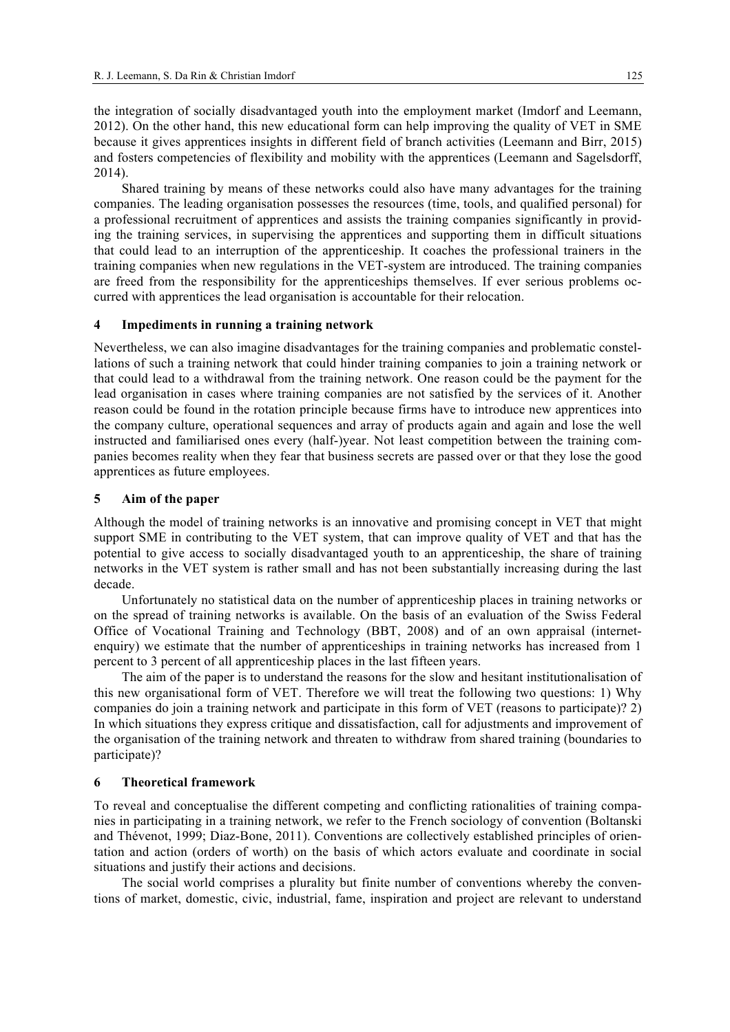the integration of socially disadvantaged youth into the employment market (Imdorf and Leemann, 2012). On the other hand, this new educational form can help improving the quality of VET in SME because it gives apprentices insights in different field of branch activities (Leemann and Birr, 2015) and fosters competencies of flexibility and mobility with the apprentices (Leemann and Sagelsdorff, 2014).

Shared training by means of these networks could also have many advantages for the training companies. The leading organisation possesses the resources (time, tools, and qualified personal) for a professional recruitment of apprentices and assists the training companies significantly in providing the training services, in supervising the apprentices and supporting them in difficult situations that could lead to an interruption of the apprenticeship. It coaches the professional trainers in the training companies when new regulations in the VET-system are introduced. The training companies are freed from the responsibility for the apprenticeships themselves. If ever serious problems occurred with apprentices the lead organisation is accountable for their relocation.

#### **4 Impediments in running a training network**

Nevertheless, we can also imagine disadvantages for the training companies and problematic constellations of such a training network that could hinder training companies to join a training network or that could lead to a withdrawal from the training network. One reason could be the payment for the lead organisation in cases where training companies are not satisfied by the services of it. Another reason could be found in the rotation principle because firms have to introduce new apprentices into the company culture, operational sequences and array of products again and again and lose the well instructed and familiarised ones every (half-)year. Not least competition between the training companies becomes reality when they fear that business secrets are passed over or that they lose the good apprentices as future employees.

#### **5 Aim of the paper**

Although the model of training networks is an innovative and promising concept in VET that might support SME in contributing to the VET system, that can improve quality of VET and that has the potential to give access to socially disadvantaged youth to an apprenticeship, the share of training networks in the VET system is rather small and has not been substantially increasing during the last decade.

Unfortunately no statistical data on the number of apprenticeship places in training networks or on the spread of training networks is available. On the basis of an evaluation of the Swiss Federal Office of Vocational Training and Technology (BBT, 2008) and of an own appraisal (internetenquiry) we estimate that the number of apprenticeships in training networks has increased from 1 percent to 3 percent of all apprenticeship places in the last fifteen years.

The aim of the paper is to understand the reasons for the slow and hesitant institutionalisation of this new organisational form of VET. Therefore we will treat the following two questions: 1) Why companies do join a training network and participate in this form of VET (reasons to participate)? 2) In which situations they express critique and dissatisfaction, call for adjustments and improvement of the organisation of the training network and threaten to withdraw from shared training (boundaries to participate)?

#### **6 Theoretical framework**

To reveal and conceptualise the different competing and conflicting rationalities of training companies in participating in a training network, we refer to the French sociology of convention (Boltanski and Thévenot, 1999; Diaz-Bone, 2011). Conventions are collectively established principles of orientation and action (orders of worth) on the basis of which actors evaluate and coordinate in social situations and justify their actions and decisions.

The social world comprises a plurality but finite number of conventions whereby the conventions of market, domestic, civic, industrial, fame, inspiration and project are relevant to understand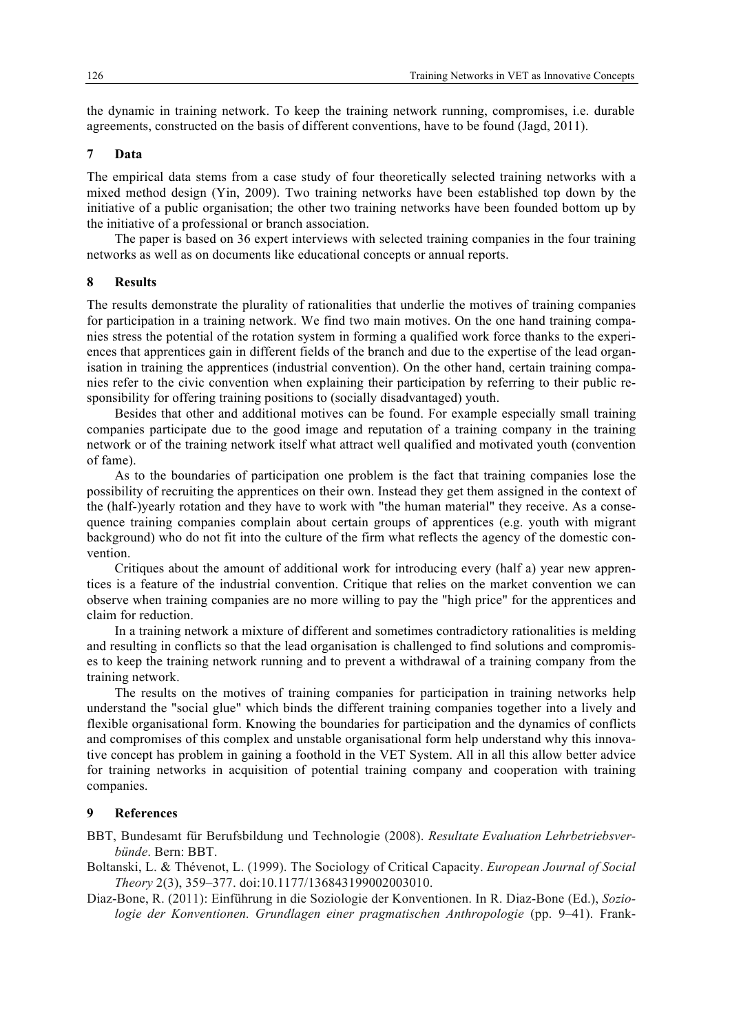the dynamic in training network. To keep the training network running, compromises, i.e. durable agreements, constructed on the basis of different conventions, have to be found (Jagd, 2011).

#### **7 Data**

The empirical data stems from a case study of four theoretically selected training networks with a mixed method design (Yin, 2009). Two training networks have been established top down by the initiative of a public organisation; the other two training networks have been founded bottom up by the initiative of a professional or branch association.

The paper is based on 36 expert interviews with selected training companies in the four training networks as well as on documents like educational concepts or annual reports.

### **8 Results**

The results demonstrate the plurality of rationalities that underlie the motives of training companies for participation in a training network. We find two main motives. On the one hand training companies stress the potential of the rotation system in forming a qualified work force thanks to the experiences that apprentices gain in different fields of the branch and due to the expertise of the lead organisation in training the apprentices (industrial convention). On the other hand, certain training companies refer to the civic convention when explaining their participation by referring to their public responsibility for offering training positions to (socially disadvantaged) youth.

Besides that other and additional motives can be found. For example especially small training companies participate due to the good image and reputation of a training company in the training network or of the training network itself what attract well qualified and motivated youth (convention of fame).

As to the boundaries of participation one problem is the fact that training companies lose the possibility of recruiting the apprentices on their own. Instead they get them assigned in the context of the (half-)yearly rotation and they have to work with "the human material" they receive. As a consequence training companies complain about certain groups of apprentices (e.g. youth with migrant background) who do not fit into the culture of the firm what reflects the agency of the domestic convention.

Critiques about the amount of additional work for introducing every (half a) year new apprentices is a feature of the industrial convention. Critique that relies on the market convention we can observe when training companies are no more willing to pay the "high price" for the apprentices and claim for reduction.

In a training network a mixture of different and sometimes contradictory rationalities is melding and resulting in conflicts so that the lead organisation is challenged to find solutions and compromises to keep the training network running and to prevent a withdrawal of a training company from the training network.

The results on the motives of training companies for participation in training networks help understand the "social glue" which binds the different training companies together into a lively and flexible organisational form. Knowing the boundaries for participation and the dynamics of conflicts and compromises of this complex and unstable organisational form help understand why this innovative concept has problem in gaining a foothold in the VET System. All in all this allow better advice for training networks in acquisition of potential training company and cooperation with training companies.

# **9 References**

BBT, Bundesamt für Berufsbildung und Technologie (2008). *Resultate Evaluation Lehrbetriebsverbünde*. Bern: BBT.

Boltanski, L. & Thévenot, L. (1999). The Sociology of Critical Capacity. *European Journal of Social Theory* 2(3), 359–377. doi:10.1177/136843199002003010.

Diaz-Bone, R. (2011): Einführung in die Soziologie der Konventionen. In R. Diaz-Bone (Ed.), *Soziologie der Konventionen. Grundlagen einer pragmatischen Anthropologie* (pp. 9–41). Frank